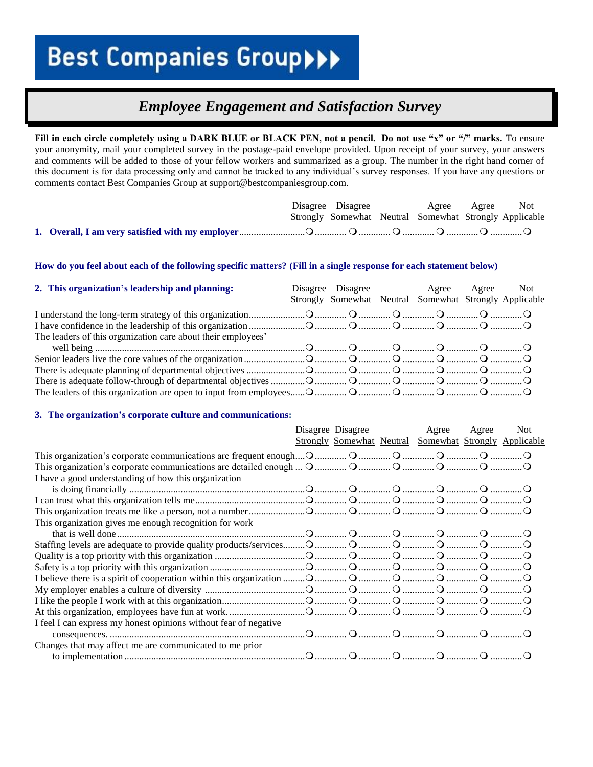### *Employee Engagement and Satisfaction Survey*

**Fill in each circle completely using a DARK BLUE or BLACK PEN, not a pencil. Do not use "x" or "/" marks.** To ensure your anonymity, mail your completed survey in the postage-paid envelope provided. Upon receipt of your survey, your answers and comments will be added to those of your fellow workers and summarized as a group. The number in the right hand corner of this document is for data processing only and cannot be tracked to any individual's survey responses. If you have any questions or comments contact Best Companies Group at support@bestcompaniesgroup.com.

|  |  | Disagree Disagree Agree Agree Not                      |  |
|--|--|--------------------------------------------------------|--|
|  |  | Strongly Somewhat Neutral Somewhat Strongly Applicable |  |
|  |  |                                                        |  |

#### **How do you feel about each of the following specific matters? (Fill in a single response for each statement below)**

| 2. This organization's leadership and planning:              |  | Disagree Disagree Agree<br>Strongly Somewhat Neutral Somewhat Strongly Applicable | Agree Not |
|--------------------------------------------------------------|--|-----------------------------------------------------------------------------------|-----------|
|                                                              |  |                                                                                   |           |
|                                                              |  |                                                                                   |           |
| The leaders of this organization care about their employees' |  |                                                                                   |           |
|                                                              |  |                                                                                   |           |
|                                                              |  |                                                                                   |           |
|                                                              |  |                                                                                   |           |
|                                                              |  |                                                                                   |           |
|                                                              |  |                                                                                   |           |

#### **3. The organization's corporate culture and communications:**

| Disagree Disagree<br>Agree<br><b>Not</b><br>Agree                |  |
|------------------------------------------------------------------|--|
| <b>Strongly Somewhat Neutral Somewhat Strongly Applicable</b>    |  |
|                                                                  |  |
|                                                                  |  |
| I have a good understanding of how this organization             |  |
|                                                                  |  |
|                                                                  |  |
|                                                                  |  |
| This organization gives me enough recognition for work           |  |
|                                                                  |  |
|                                                                  |  |
|                                                                  |  |
|                                                                  |  |
|                                                                  |  |
|                                                                  |  |
|                                                                  |  |
|                                                                  |  |
| I feel I can express my honest opinions without fear of negative |  |
|                                                                  |  |
| Changes that may affect me are communicated to me prior          |  |
|                                                                  |  |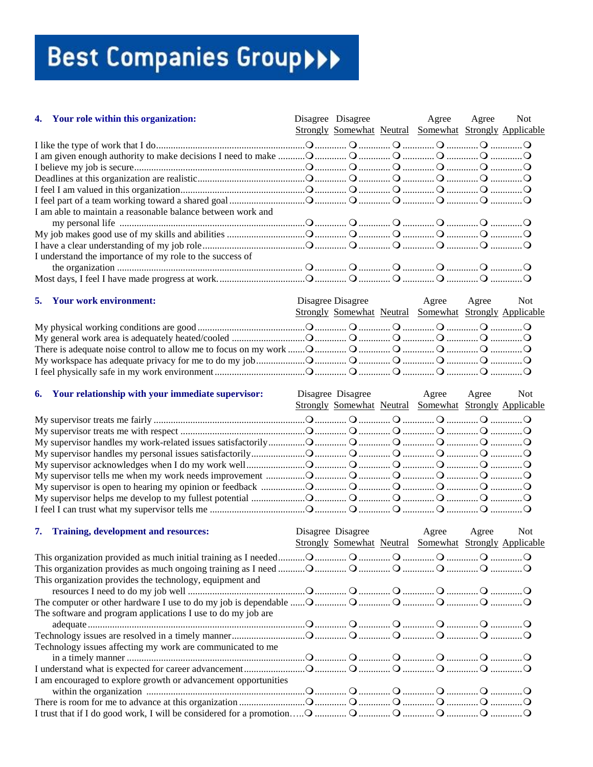| 4. Your role within this organization:                      |  | Disagree Disagree Agree Agree<br>Strongly Somewhat Neutral Somewhat Strongly Applicable | Not |
|-------------------------------------------------------------|--|-----------------------------------------------------------------------------------------|-----|
|                                                             |  |                                                                                         |     |
|                                                             |  |                                                                                         |     |
|                                                             |  |                                                                                         |     |
|                                                             |  |                                                                                         |     |
|                                                             |  |                                                                                         |     |
|                                                             |  |                                                                                         |     |
| I am able to maintain a reasonable balance between work and |  |                                                                                         |     |
|                                                             |  |                                                                                         |     |
|                                                             |  |                                                                                         |     |
|                                                             |  |                                                                                         |     |
| I understand the importance of my role to the success of    |  |                                                                                         |     |
|                                                             |  |                                                                                         |     |
|                                                             |  |                                                                                         |     |
|                                                             |  |                                                                                         |     |
| <b>5.</b> Your work environment:                            |  | Disagree Disagree Agree Agree                                                           | Not |
|                                                             |  | Strongly Somewhat Neutral Somewhat Strongly Applicable                                  |     |
|                                                             |  |                                                                                         |     |
|                                                             |  |                                                                                         |     |
|                                                             |  |                                                                                         |     |
|                                                             |  |                                                                                         |     |
|                                                             |  |                                                                                         |     |

| 6. Your relationship with your immediate supervisor: |  | Disagree Disagree Agree Agree Not<br>Strongly Somewhat Neutral Somewhat Strongly Applicable |  |
|------------------------------------------------------|--|---------------------------------------------------------------------------------------------|--|
|                                                      |  |                                                                                             |  |
|                                                      |  |                                                                                             |  |
|                                                      |  |                                                                                             |  |
|                                                      |  |                                                                                             |  |
|                                                      |  |                                                                                             |  |
|                                                      |  |                                                                                             |  |
|                                                      |  |                                                                                             |  |
|                                                      |  |                                                                                             |  |
|                                                      |  |                                                                                             |  |

| 7. Training, development and resources:                        | Disagree Disagree | Agree<br>Strongly Somewhat Neutral Somewhat Strongly Applicable | Agree | Not |
|----------------------------------------------------------------|-------------------|-----------------------------------------------------------------|-------|-----|
|                                                                |                   |                                                                 |       |     |
|                                                                |                   |                                                                 |       |     |
| This organization provides the technology, equipment and       |                   |                                                                 |       |     |
|                                                                |                   |                                                                 |       |     |
|                                                                |                   |                                                                 |       |     |
| The software and program applications I use to do my job are   |                   |                                                                 |       |     |
|                                                                |                   |                                                                 |       |     |
|                                                                |                   |                                                                 |       |     |
| Technology issues affecting my work are communicated to me     |                   |                                                                 |       |     |
|                                                                |                   |                                                                 |       |     |
|                                                                |                   |                                                                 |       |     |
| I am encouraged to explore growth or advancement opportunities |                   |                                                                 |       |     |
|                                                                |                   |                                                                 |       |     |
|                                                                |                   |                                                                 |       |     |
|                                                                |                   |                                                                 |       |     |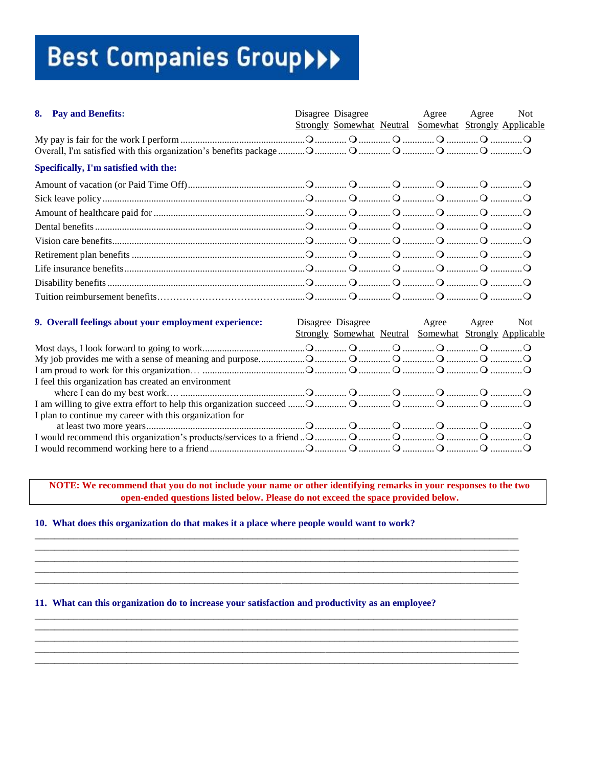| 8. | <b>Pay and Benefits:</b>                                |  | Disagree Disagree Agree<br>Strongly Somewhat Neutral Somewhat Strongly Applicable       | Agree | Not |
|----|---------------------------------------------------------|--|-----------------------------------------------------------------------------------------|-------|-----|
|    |                                                         |  |                                                                                         |       |     |
|    | Specifically, I'm satisfied with the:                   |  |                                                                                         |       |     |
|    |                                                         |  |                                                                                         |       |     |
|    |                                                         |  |                                                                                         |       |     |
|    |                                                         |  |                                                                                         |       |     |
|    |                                                         |  |                                                                                         |       |     |
|    |                                                         |  |                                                                                         |       |     |
|    |                                                         |  |                                                                                         |       |     |
|    |                                                         |  |                                                                                         |       |     |
|    |                                                         |  |                                                                                         |       |     |
|    |                                                         |  |                                                                                         |       |     |
|    | 9. Overall feelings about your employment experience:   |  | Disagree Disagree Agree Agree<br>Strongly Somewhat Neutral Somewhat Strongly Applicable |       | Not |
|    |                                                         |  |                                                                                         |       |     |
|    |                                                         |  |                                                                                         |       |     |
|    | I feel this organization has created an environment     |  |                                                                                         |       |     |
|    |                                                         |  |                                                                                         |       |     |
|    | I plan to continue my career with this organization for |  |                                                                                         |       |     |
|    |                                                         |  |                                                                                         |       |     |
|    |                                                         |  |                                                                                         |       |     |

NOTE: We recommend that you do not include your name or other identifying remarks in your responses to the two open-ended questions listed below. Please do not exceed the space provided below.

#### 10. What does this organization do that makes it a place where people would want to work?

#### 11. What can this organization do to increase your satisfaction and productivity as an employee?